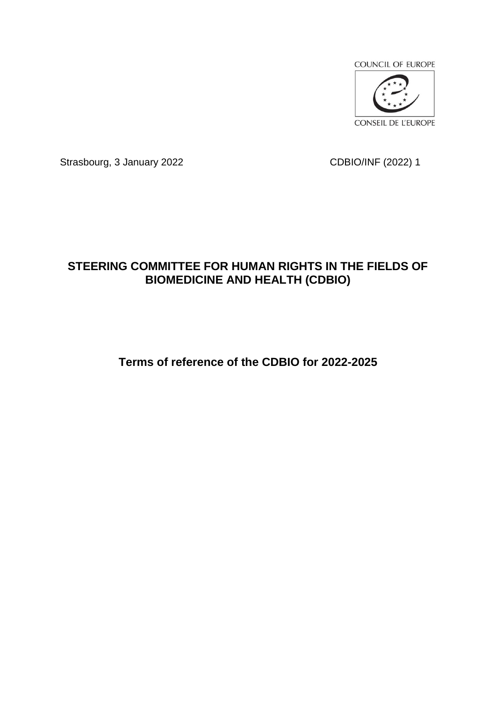

Strasbourg, 3 January 2022 CDBIO/INF (2022) 1

# **STEERING COMMITTEE FOR HUMAN RIGHTS IN THE FIELDS OF BIOMEDICINE AND HEALTH (CDBIO)**

**Terms of reference of the CDBIO for 2022-2025**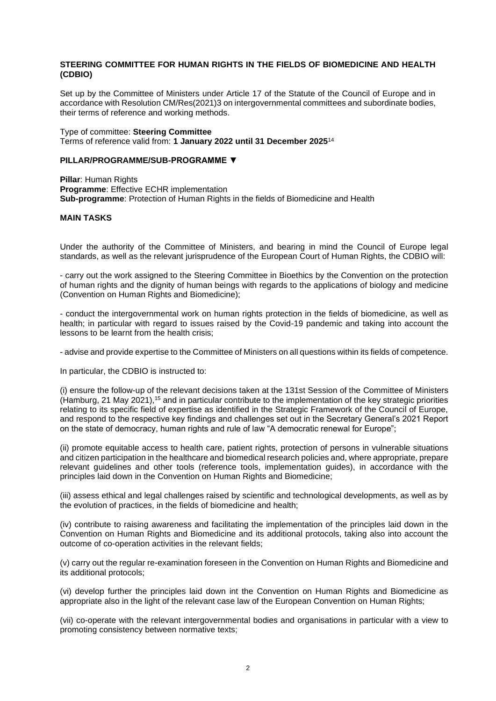## **STEERING COMMITTEE FOR HUMAN RIGHTS IN THE FIELDS OF BIOMEDICINE AND HEALTH (CDBIO)**

Set up by the Committee of Ministers under Article 17 of the Statute of the Council of Europe and in accordance with Resolution CM/Res(2021)3 on intergovernmental committees and subordinate bodies, their terms of reference and working methods.

Type of committee: **Steering Committee**  Terms of reference valid from: **1 January 2022 until 31 December 2025**<sup>14</sup>

#### **PILLAR/PROGRAMME/SUB-PROGRAMME ▼**

**Pillar**: Human Rights **Programme: Effective ECHR implementation Sub-programme**: Protection of Human Rights in the fields of Biomedicine and Health

#### **MAIN TASKS**

Under the authority of the Committee of Ministers, and bearing in mind the Council of Europe legal standards, as well as the relevant jurisprudence of the European Court of Human Rights, the CDBIO will:

- carry out the work assigned to the Steering Committee in Bioethics by the Convention on the protection of human rights and the dignity of human beings with regards to the applications of biology and medicine (Convention on Human Rights and Biomedicine);

- conduct the intergovernmental work on human rights protection in the fields of biomedicine, as well as health; in particular with regard to issues raised by the Covid-19 pandemic and taking into account the lessons to be learnt from the health crisis;

- advise and provide expertise to the Committee of Ministers on all questions within its fields of competence.

In particular, the CDBIO is instructed to:

(i) ensure the follow-up of the relevant decisions taken at the 131st Session of the Committee of Ministers (Hamburg, 21 May 2021),<sup>15</sup> and in particular contribute to the implementation of the key strategic priorities relating to its specific field of expertise as identified in the Strategic Framework of the Council of Europe, and respond to the respective key findings and challenges set out in the Secretary General's 2021 Report on the state of democracy, human rights and rule of law "A democratic renewal for Europe";

(ii) promote equitable access to health care, patient rights, protection of persons in vulnerable situations and citizen participation in the healthcare and biomedical research policies and, where appropriate, prepare relevant guidelines and other tools (reference tools, implementation guides), in accordance with the principles laid down in the Convention on Human Rights and Biomedicine;

(iii) assess ethical and legal challenges raised by scientific and technological developments, as well as by the evolution of practices, in the fields of biomedicine and health;

(iv) contribute to raising awareness and facilitating the implementation of the principles laid down in the Convention on Human Rights and Biomedicine and its additional protocols, taking also into account the outcome of co-operation activities in the relevant fields;

(v) carry out the regular re-examination foreseen in the Convention on Human Rights and Biomedicine and its additional protocols;

(vi) develop further the principles laid down int the Convention on Human Rights and Biomedicine as appropriate also in the light of the relevant case law of the European Convention on Human Rights;

(vii) co-operate with the relevant intergovernmental bodies and organisations in particular with a view to promoting consistency between normative texts;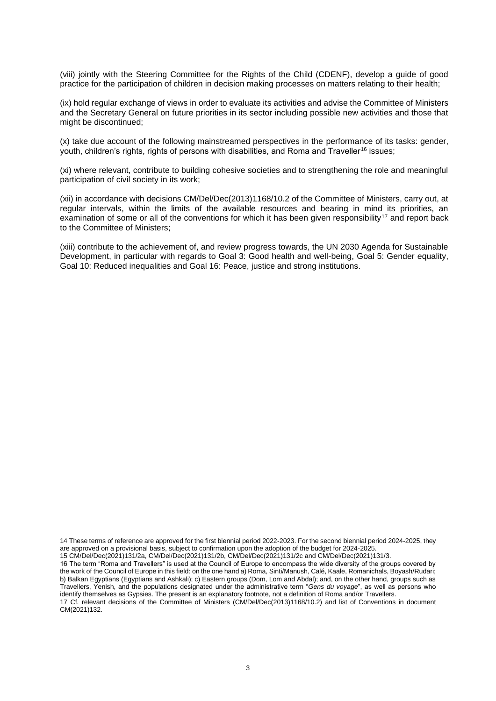(viii) jointly with the Steering Committee for the Rights of the Child (CDENF), develop a guide of good practice for the participation of children in decision making processes on matters relating to their health;

(ix) hold regular exchange of views in order to evaluate its activities and advise the Committee of Ministers and the Secretary General on future priorities in its sector including possible new activities and those that might be discontinued;

(x) take due account of the following mainstreamed perspectives in the performance of its tasks: gender, youth, children's rights, rights of persons with disabilities, and Roma and Traveller<sup>16</sup> issues;

(xi) where relevant, contribute to building cohesive societies and to strengthening the role and meaningful participation of civil society in its work;

(xii) in accordance with decisions CM/Del/Dec(2013)1168/10.2 of the Committee of Ministers, carry out, at regular intervals, within the limits of the available resources and bearing in mind its priorities, an examination of some or all of the conventions for which it has been given responsibility<sup>17</sup> and report back to the Committee of Ministers;

(xiii) contribute to the achievement of, and review progress towards, the UN 2030 Agenda for Sustainable Development, in particular with regards to Goal 3: Good health and well-being, Goal 5: Gender equality, Goal 10: Reduced inequalities and Goal 16: Peace, justice and strong institutions.

14 These terms of reference are approved for the first biennial period 2022-2023. For the second biennial period 2024-2025, they are approved on a provisional basis, subject to confirmation upon the adoption of the budget for 2024-2025.

15 CM/Del/Dec(2021)131/2a, CM/Del/Dec(2021)131/2b, CM/Del/Dec(2021)131/2c and CM/Del/Dec(2021)131/3.

16 The term "Roma and Travellers" is used at the Council of Europe to encompass the wide diversity of the groups covered by the work of the Council of Europe in this field: on the one hand a) Roma, Sinti/Manush, Calé, Kaale, Romanichals, Boyash/Rudari; b) Balkan Egyptians (Egyptians and Ashkali); c) Eastern groups (Dom, Lom and Abdal); and, on the other hand, groups such as Travellers, Yenish, and the populations designated under the administrative term "*Gens du voyage*", as well as persons who identify themselves as Gypsies. The present is an explanatory footnote, not a definition of Roma and/or Travellers.

17 Cf. relevant decisions of the Committee of Ministers (CM/Del/Dec(2013)1168/10.2) and list of Conventions in document CM(2021)132.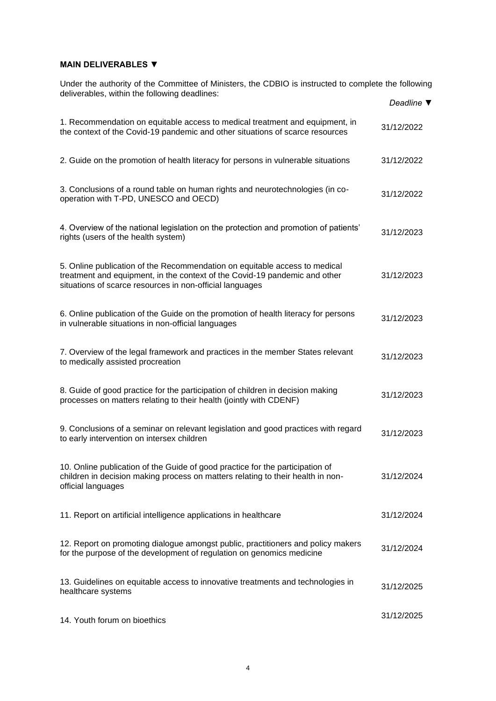# **MAIN DELIVERABLES ▼**

Under the authority of the Committee of Ministers, the CDBIO is instructed to complete the following deliverables, within the following deadlines:

|                                                                                                                                                                                                                      | Deadline ▼ |
|----------------------------------------------------------------------------------------------------------------------------------------------------------------------------------------------------------------------|------------|
| 1. Recommendation on equitable access to medical treatment and equipment, in<br>the context of the Covid-19 pandemic and other situations of scarce resources                                                        | 31/12/2022 |
| 2. Guide on the promotion of health literacy for persons in vulnerable situations                                                                                                                                    | 31/12/2022 |
| 3. Conclusions of a round table on human rights and neurotechnologies (in co-<br>operation with T-PD, UNESCO and OECD)                                                                                               | 31/12/2022 |
| 4. Overview of the national legislation on the protection and promotion of patients'<br>rights (users of the health system)                                                                                          | 31/12/2023 |
| 5. Online publication of the Recommendation on equitable access to medical<br>treatment and equipment, in the context of the Covid-19 pandemic and other<br>situations of scarce resources in non-official languages | 31/12/2023 |
| 6. Online publication of the Guide on the promotion of health literacy for persons<br>in vulnerable situations in non-official languages                                                                             | 31/12/2023 |
| 7. Overview of the legal framework and practices in the member States relevant<br>to medically assisted procreation                                                                                                  | 31/12/2023 |
| 8. Guide of good practice for the participation of children in decision making<br>processes on matters relating to their health (jointly with CDENF)                                                                 | 31/12/2023 |
| 9. Conclusions of a seminar on relevant legislation and good practices with regard<br>to early intervention on intersex children                                                                                     | 31/12/2023 |
| 10. Online publication of the Guide of good practice for the participation of<br>children in decision making process on matters relating to their health in non-<br>official languages                               | 31/12/2024 |
| 11. Report on artificial intelligence applications in healthcare                                                                                                                                                     | 31/12/2024 |
| 12. Report on promoting dialogue amongst public, practitioners and policy makers<br>for the purpose of the development of regulation on genomics medicine                                                            | 31/12/2024 |
| 13. Guidelines on equitable access to innovative treatments and technologies in<br>healthcare systems                                                                                                                | 31/12/2025 |
| 14. Youth forum on bioethics                                                                                                                                                                                         | 31/12/2025 |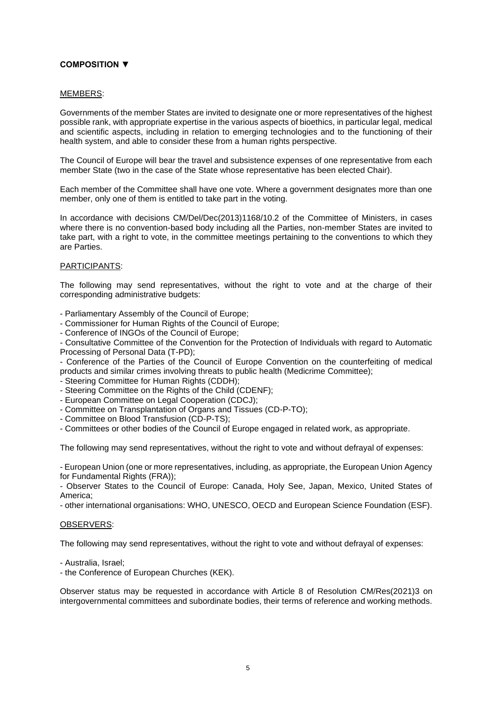# **COMPOSITION ▼**

## MEMBERS:

Governments of the member States are invited to designate one or more representatives of the highest possible rank, with appropriate expertise in the various aspects of bioethics, in particular legal, medical and scientific aspects, including in relation to emerging technologies and to the functioning of their health system, and able to consider these from a human rights perspective.

The Council of Europe will bear the travel and subsistence expenses of one representative from each member State (two in the case of the State whose representative has been elected Chair).

Each member of the Committee shall have one vote. Where a government designates more than one member, only one of them is entitled to take part in the voting.

In accordance with decisions CM/Del/Dec(2013)1168/10.2 of the Committee of Ministers, in cases where there is no convention-based body including all the Parties, non-member States are invited to take part, with a right to vote, in the committee meetings pertaining to the conventions to which they are Parties.

### PARTICIPANTS:

The following may send representatives, without the right to vote and at the charge of their corresponding administrative budgets:

- Parliamentary Assembly of the Council of Europe;

- Commissioner for Human Rights of the Council of Europe;

- Conference of INGOs of the Council of Europe;

- Consultative Committee of the Convention for the Protection of Individuals with regard to Automatic Processing of Personal Data (T-PD);

- Conference of the Parties of the Council of Europe Convention on the counterfeiting of medical products and similar crimes involving threats to public health (Medicrime Committee);

- Steering Committee for Human Rights (CDDH);

- Steering Committee on the Rights of the Child (CDENF);

- European Committee on Legal Cooperation (CDCJ);

- Committee on Transplantation of Organs and Tissues (CD-P-TO);
- Committee on Blood Transfusion (CD-P-TS);

- Committees or other bodies of the Council of Europe engaged in related work, as appropriate.

The following may send representatives, without the right to vote and without defrayal of expenses:

- European Union (one or more representatives, including, as appropriate, the European Union Agency for Fundamental Rights (FRA));

- Observer States to the Council of Europe: Canada, Holy See, Japan, Mexico, United States of America;

- other international organisations: WHO, UNESCO, OECD and European Science Foundation (ESF).

### OBSERVERS:

The following may send representatives, without the right to vote and without defrayal of expenses:

- Australia, Israel;

- the Conference of European Churches (KEK).

Observer status may be requested in accordance with Article 8 of Resolution CM/Res(2021)3 on intergovernmental committees and subordinate bodies, their terms of reference and working methods.